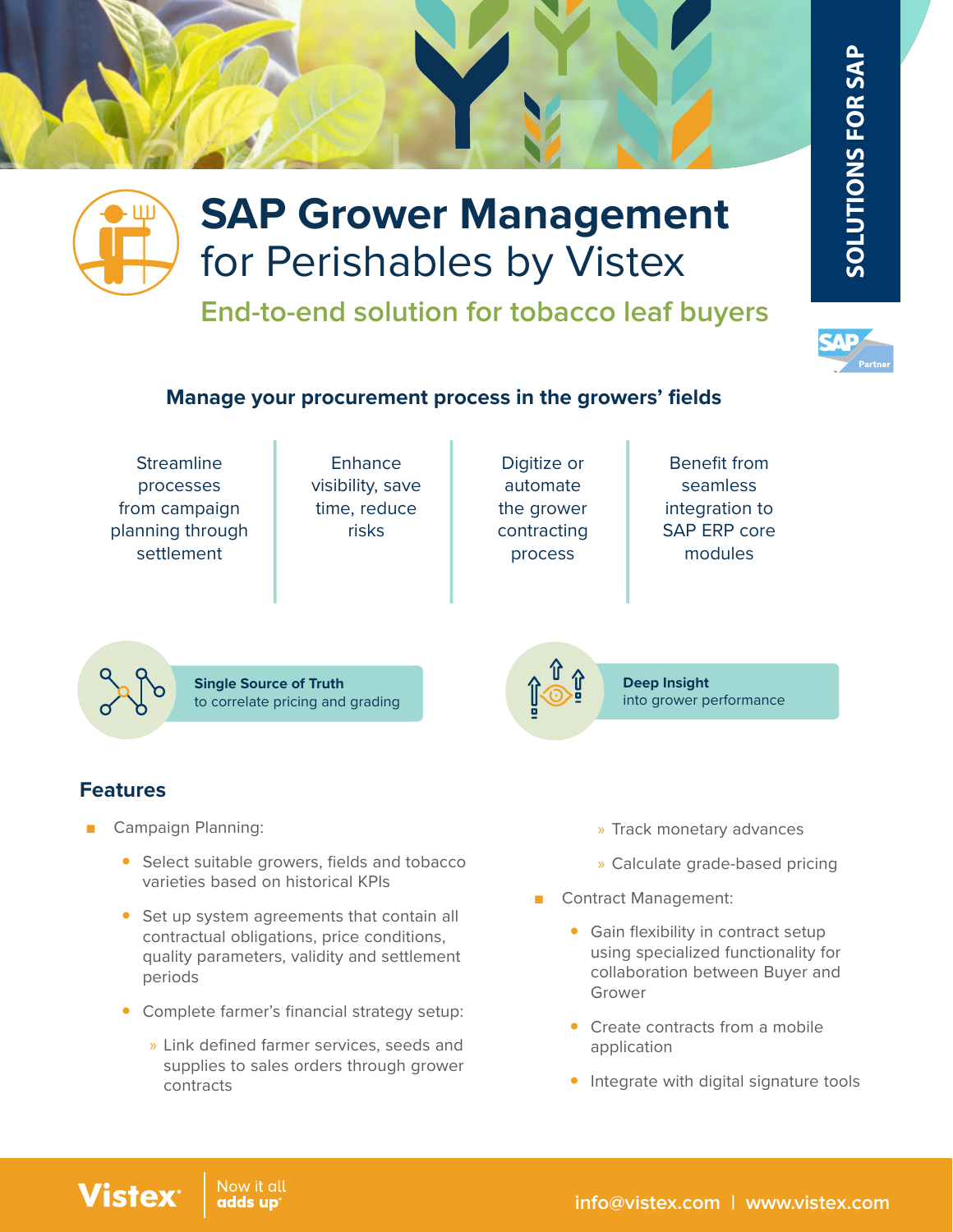### **Manage your procurement process in the growers' fields**

for Perishables by Vistex

**SAP Grower Management** 

**End-to-end solution for tobacco leaf buyers**

- **Streamline** processes from campaign planning through settlement
- Enhance visibility, save time, reduce risks
- Digitize or automate the grower contracting process
- Benefit from seamless integration to SAP ERP core modules

**Single Source of Truth** to correlate pricing and grading

## **Features**

**Vistex** 

- Campaign Planning:
	- Select suitable growers, fields and tobacco varieties based on historical KPIs
	- Set up system agreements that contain all contractual obligations, price conditions, quality parameters, validity and settlement periods
	- Complete farmer's financial strategy setup:
		- » Link defined farmer services, seeds and supplies to sales orders through grower contracts
- » Track monetary advances
- » Calculate grade-based pricing
- Contract Management:
- Gain flexibility in contract setup using specialized functionality for collaboration between Buyer and Grower **y Integral signature COLUTIONS FOR SAP**<br> **SAP**<br> **y Integrate SCOLUTIONS FOR SAP**<br> **SAP**<br> **EXECT SECT SAP**<br> **EXECT SAP**<br> **EXECT SAPERP CORE SAPERP CORE integration to**<br> **SAPERP CORE integration to**<br> **SAPERP CORE inflexibil** 
	- Create contracts from a mobile application
	-



**Deep Insight** into grower performance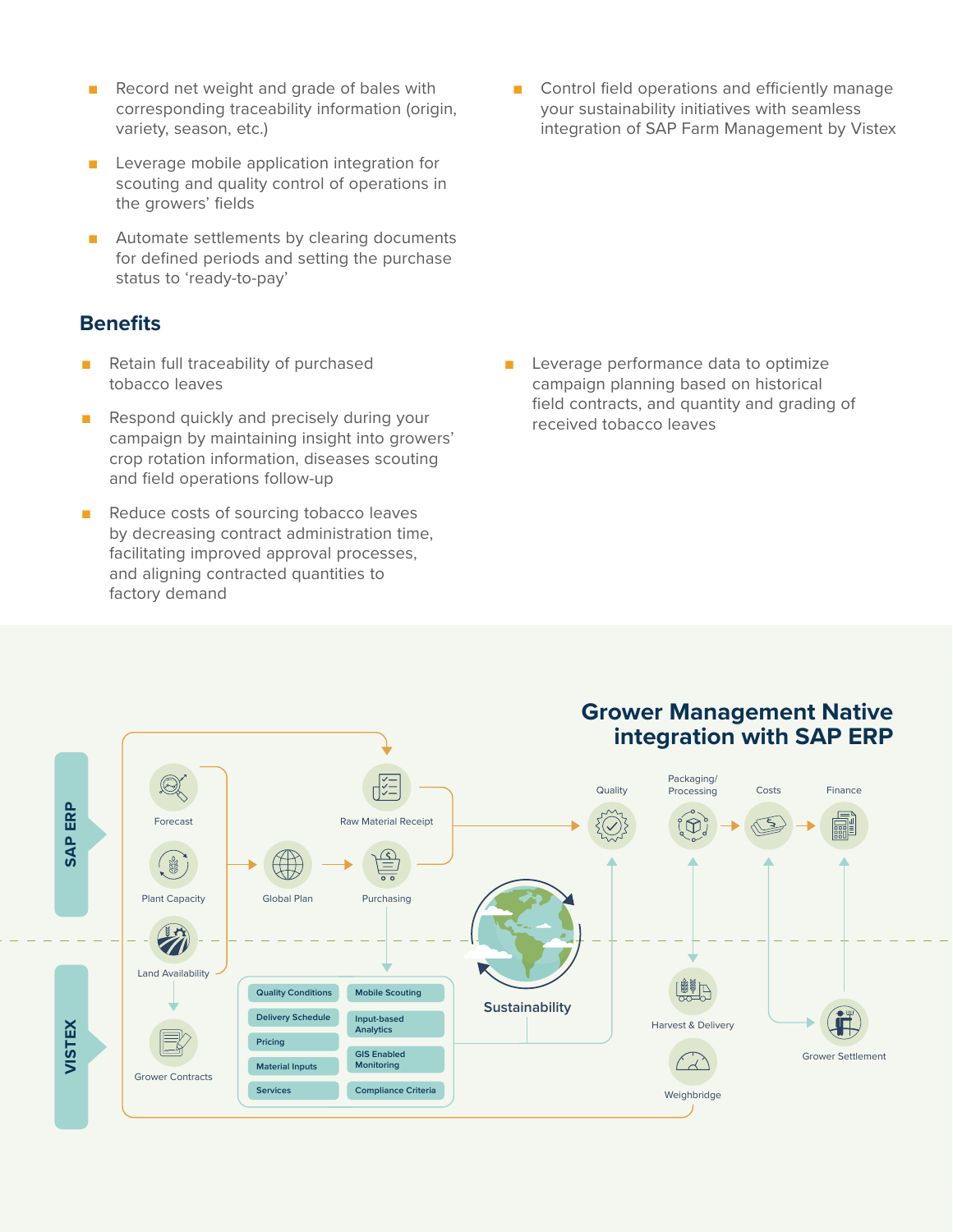- Record net weight and grade of bales with corresponding traceability information (origin, variety, season, etc.)
- Leverage mobile application integration for scouting and quality control of operations in the growers' fields
- Automate settlements by clearing documents for defined periods and setting the purchase status to 'ready-to-pay'

### **Benefits**

- Retain full traceability of purchased tobacco leaves
- Respond quickly and precisely during your campaign by maintaining insight into growers' crop rotation information, diseases scouting and field operations follow-up
- Reduce costs of sourcing tobacco leaves by decreasing contract administration time, facilitating improved approval processes, and aligning contracted quantities to factory demand

■ Control field operations and efficiently manage your sustainability initiatives with seamless integration of SAP Farm Management by Vistex

■ Leverage performance data to optimize campaign planning based on historical field contracts, and quantity and grading of received tobacco leaves

### **Grower Management Native integration with SAP ERP**